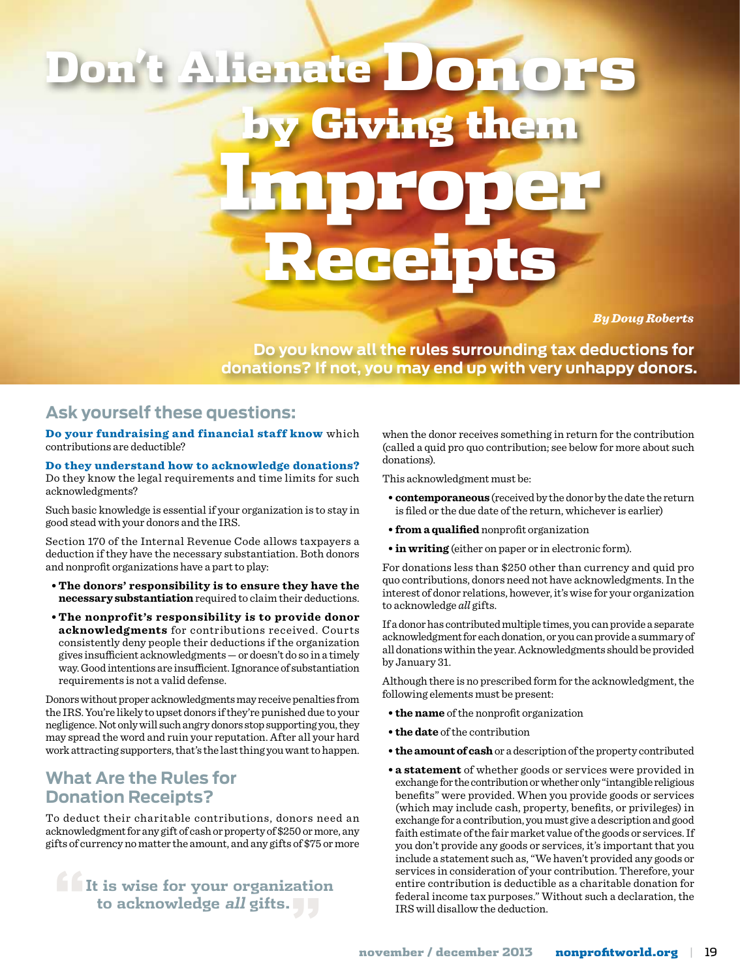# lenate Don **Giving them** Improper Receipts

*By Doug Roberts*

**Do you know all the rules surrounding tax deductions for donations? If not, you may end up with very unhappy donors.**

## **Ask yourself these questions:**

Do your fundraising and financial staff know which contributions are deductible?

#### Do they understand how to acknowledge donations? Do they know the legal requirements and time limits for such acknowledgments?

Such basic knowledge is essential if your organization is to stay in good stead with your donors and the IRS.

Section 170 of the Internal Revenue Code allows taxpayers a deduction if they have the necessary substantiation. Both donors and nonprofit organizations have a part to play:

- **• The donors' responsibility is to ensure they have the necessary substantiation** required to claim their deductions.
- **• The nonprofit's responsibility is to provide donor acknowledgments** for contributions received. Courts consistently deny people their deductions if the organization gives insufficient acknowledgments — or doesn't do so in a timely way. Good intentions are insufficient. Ignorance of substantiation requirements is not a valid defense.

Donors without proper acknowledgments may receive penalties from the IRS. You're likely to upset donors if they're punished due to your negligence. Not only will such angry donors stop supporting you, they may spread the word and ruin your reputation. After all your hard work attracting supporters, that's the last thing you want to happen.

## **What Are the Rules for Donation Receipts?**

To deduct their charitable contributions, donors need an acknowledgment for any gift of cash or property of \$250 or more, any gifts of currency no matter the amount, and any gifts of \$75 or more

**" It is wise for your organization to acknowledge all gifts."**

when the donor receives something in return for the contribution (called a quid pro quo contribution; see below for more about such donations).

This acknowledgment must be:

- **• contemporaneous** (received by the donor by the date the return is filed or the due date of the return, whichever is earlier)
- **• from a qualified** nonprofit organization
- **• in writing** (either on paper or in electronic form).

For donations less than \$250 other than currency and quid pro quo contributions, donors need not have acknowledgments. In the interest of donor relations, however, it's wise for your organization to acknowledge *all* gifts.

If a donor has contributed multiple times, you can provide a separate acknowledgment for each donation, or you can provide a summary of all donations within the year. Acknowledgments should be provided by January 31.

Although there is no prescribed form for the acknowledgment, the following elements must be present:

- **• the name** of the nonprofit organization
- **• the date** of the contribution
- **• theamountof cash** or a description of the property contributed
- **• a statement** of whether goods or services were provided in exchange for the contribution or whether only "intangible religious benefits" were provided. When you provide goods or services (which may include cash, property, benefits, or privileges) in exchange for a contribution, you must give a description and good faith estimate of the fair market value of the goods or services. If you don't provide any goods or services, it's important that you include a statement such as, "We haven't provided any goods or services in consideration of your contribution. Therefore, your entire contribution is deductible as a charitable donation for federal income tax purposes." Without such a declaration, the IRS will disallow the deduction.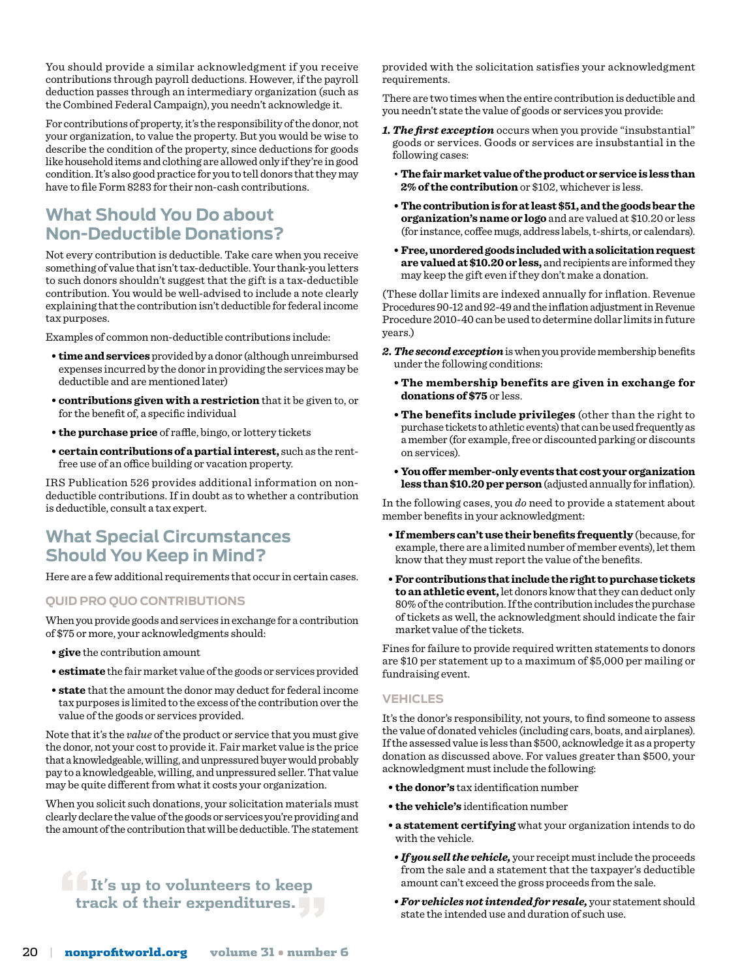You should provide a similar acknowledgment if you receive contributions through payroll deductions. However, if the payroll deduction passes through an intermediary organization (such as the Combined Federal Campaign), you needn't acknowledge it.

For contributions of property, it's the responsibility of the donor, not your organization, to value the property. But you would be wise to describe the condition of the property, since deductions for goods like household items and clothing are allowed only if they're in good condition. It's also good practice for you to tell donors that they may have to file Form 8283 for their non-cash contributions.

# **What Should You Do about Non-Deductible Donations?**

Not every contribution is deductible. Take care when you receive something of value that isn't tax-deductible. Your thank-you letters to such donors shouldn't suggest that the gift is a tax-deductible contribution. You would be well-advised to include a note clearly explaining that the contribution isn't deductible for federal income tax purposes.

Examples of common non-deductible contributions include:

- **• timeandservices** provided by a donor (although unreimbursed expenses incurred by the donor in providing the services may be deductible and are mentioned later)
- **• contributions given with a restriction** that it be given to, or for the benefit of, a specific individual
- **• the purchase price** of raffle, bingo, or lottery tickets
- **• certaincontributions of apartialinterest,** such as the rentfree use of an office building or vacation property.

IRS Publication 526 provides additional information on nondeductible contributions. If in doubt as to whether a contribution is deductible, consult a tax expert.

## **What Special Circumstances Should You Keep in Mind?**

Here are a few additional requirements that occur in certain cases.

#### **Quid Pro Quo Contributions**

When you provide goods and services in exchange for a contribution of \$75 or more, your acknowledgments should:

- **• give** the contribution amount
- **• estimate** the fair market value of the goods or services provided
- **• state** that the amount the donor may deduct for federal income tax purposes is limited to the excess of the contribution over the value of the goods or services provided.

Note that it's the *value* of the product or service that you must give the donor, not your cost to provide it. Fair market value is the price that a knowledgeable, willing, and unpressured buyer would probably pay to a knowledgeable, willing, and unpressured seller. That value may be quite different from what it costs your organization.

When you solicit such donations, your solicitation materials must clearly declare the value of the goods or services you're providing and the amount of the contribution that will be deductible. The statement

# **" It's up to volunteers to keep track of their expenditures."**

provided with the solicitation satisfies your acknowledgment requirements.

There are two times when the entire contribution is deductible and you needn't state the value of goods or services you provide:

- *1. The first exception* occurs when you provide "insubstantial" goods or services. Goods or services are insubstantial in the following cases:
	- **Thefairmarketvalueof theproductor serviceis less than 2% of the contribution** or \$102, whichever is less.
	- **• The contributionis forat least\$51,andthe goodsbear the organization'sname or logo** and are valued at \$10.20 or less (for instance, coffee mugs, address labels, t-shirts, or calendars).
	- **• Free,unorderedgoods includedwithasolicitationrequest arevaluedat\$10.20or less,** and recipients are informed they may keep the gift even if they don't make a donation.

(These dollar limits are indexed annually for inflation. Revenue Procedures 90-12 and 92-49 and the inflation adjustment in Revenue Procedure 2010-40 can be used to determine dollar limits in future years.)

- *2. The second exception* is when you provide membership benefits under the following conditions:
	- **• The membership benefits are given in exchange for donations of \$75** or less.
	- **• The benefits include privileges** (other than the right to purchase tickets to athletic events) that can be used frequently as a member (for example, free or discounted parking or discounts on services).
	- **• Youoffermember-onlyevents that costyourorganization** less than \$10.20 per person (adjusted annually for inflation).

In the following cases, you *do* need to provide a statement about member benefits in your acknowledgment:

- **• Ifmembers can'tuse theirbenefits frequently** (because, for example, there are a limited number of member events), let them know that they must report the value of the benefits.
- **• Forcontributions that includetheright topurchasetickets to anathletic event,** let donors know that they can deduct only 80% of the contribution. If the contribution includes the purchase of tickets as well, the acknowledgment should indicate the fair market value of the tickets.

Fines for failure to provide required written statements to donors are \$10 per statement up to a maximum of \$5,000 per mailing or fundraising event.

#### **Vehicles**

It's the donor's responsibility, not yours, to find someone to assess the value of donated vehicles (including cars, boats, and airplanes). If the assessed value is less than \$500, acknowledge it as a property donation as discussed above. For values greater than \$500, your acknowledgment must include the following:

- **• the donor's** tax identification number
- **• the vehicle's** identification number
- **• a statement certifying** what your organization intends to do with the vehicle.
- *If you sell the vehicle,* your receipt must include the proceeds from the sale and a statement that the taxpayer's deductible amount can't exceed the gross proceeds from the sale.
- *For vehicles not intended for resale,* your statement should state the intended use and duration of such use.